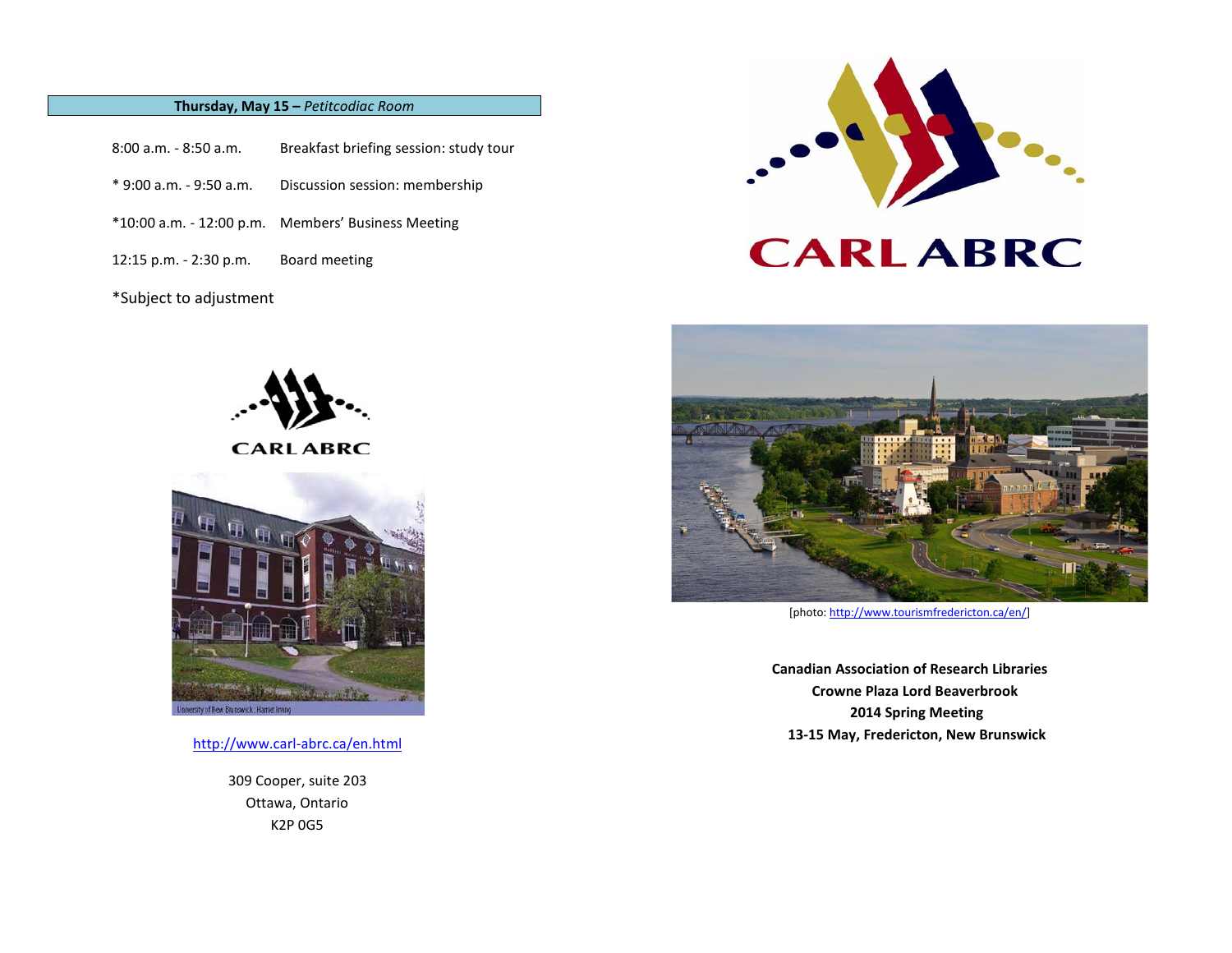# **Thursday, May 15 –** *Petitcodiac Room*

- 8:00 a.m. 8:50 a.m. Breakfast briefing session: study tour
- \* 9:00 a.m. 9:50 a.m. Discussion session: membership
- \*10:00 a.m. 12:00 p.m. Members' Business Meeting
- 12:15 p.m. 2:30 p.m. Board meeting

## \*Subject to adjustment



**CARLABRC** 



<http://www.carl-abrc.ca/en.html>

 309 Cooper, suite 203 Ottawa, Ontario K2P 0G5





[photo[: http://www.tourismfredericton.ca/en/\]](http://www.tourismfredericton.ca/en/)

**Canadian Association of Research Libraries Crowne Plaza Lord Beaverbrook 2014 Spring Meeting 13-15 May, Fredericton, New Brunswick**